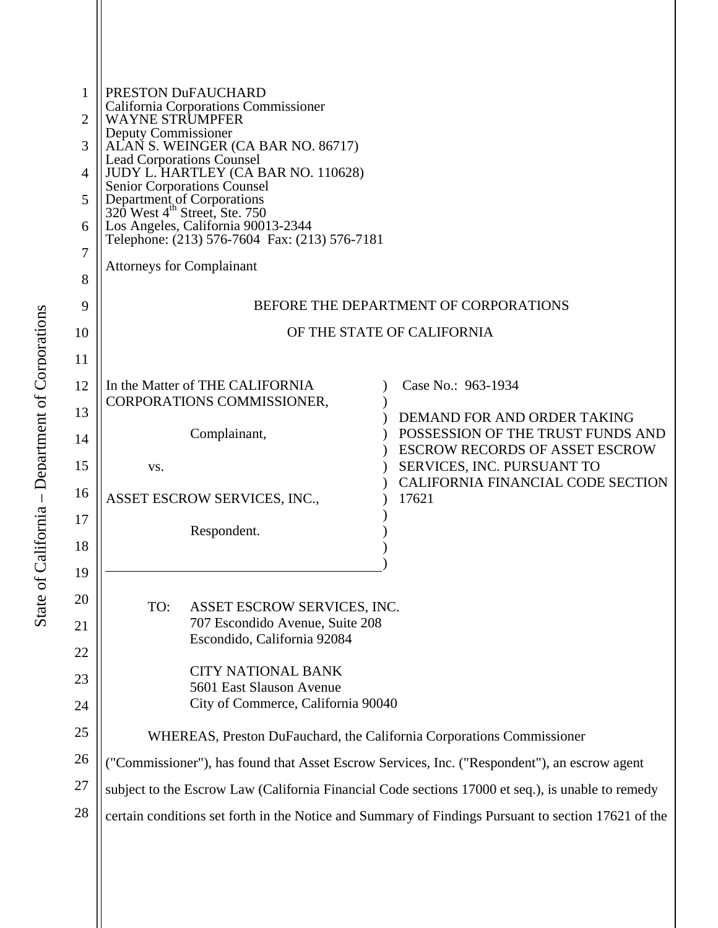| 1              | PRESTON DuFAUCHARD<br>California Corporations Commissioner                                                                                                                                    |                                                                            |
|----------------|-----------------------------------------------------------------------------------------------------------------------------------------------------------------------------------------------|----------------------------------------------------------------------------|
| $\overline{2}$ | <b>WAYNE STRUMPFER</b><br>Deputy Commissioner<br>ALAN S. WEINGER (CA BAR NO. 86717)<br><b>Lead Corporations Counsel</b><br>JUDY L. HARTLEY (CA BAR NO. 110628)<br>Senior Corporations Counsel |                                                                            |
| 3              |                                                                                                                                                                                               |                                                                            |
| 4              |                                                                                                                                                                                               |                                                                            |
| 5              | Department of Corporations<br>320 West 4 <sup>th</sup> Street, Ste. 750                                                                                                                       |                                                                            |
| 6              | Los Angeles, California 90013-2344<br>Telephone: (213) 576-7604 Fax: (213) 576-7181                                                                                                           |                                                                            |
| 7              | <b>Attorneys for Complainant</b>                                                                                                                                                              |                                                                            |
| 8              |                                                                                                                                                                                               |                                                                            |
| 9              | BEFORE THE DEPARTMENT OF CORPORATIONS                                                                                                                                                         |                                                                            |
| 10             | OF THE STATE OF CALIFORNIA                                                                                                                                                                    |                                                                            |
| 11             |                                                                                                                                                                                               |                                                                            |
| 12             | In the Matter of THE CALIFORNIA                                                                                                                                                               | Case No.: 963-1934                                                         |
| 13             | CORPORATIONS COMMISSIONER,                                                                                                                                                                    | DEMAND FOR AND ORDER TAKING                                                |
| 14             | Complainant,                                                                                                                                                                                  | POSSESSION OF THE TRUST FUNDS AND<br><b>ESCROW RECORDS OF ASSET ESCROW</b> |
| 15             | VS.                                                                                                                                                                                           | SERVICES, INC. PURSUANT TO<br>CALIFORNIA FINANCIAL CODE SECTION            |
| 16             | ASSET ESCROW SERVICES, INC.,<br>17621                                                                                                                                                         |                                                                            |
| 17             | Respondent.                                                                                                                                                                                   |                                                                            |
| 18             |                                                                                                                                                                                               |                                                                            |
| 19             |                                                                                                                                                                                               |                                                                            |
| 20             | TO:<br>ASSET ESCROW SERVICES, INC.                                                                                                                                                            |                                                                            |
| 21             | 707 Escondido Avenue, Suite 208                                                                                                                                                               |                                                                            |
| 22             | Escondido, California 92084                                                                                                                                                                   |                                                                            |
| 23             | <b>CITY NATIONAL BANK</b><br>5601 East Slauson Avenue                                                                                                                                         |                                                                            |
| 24             | City of Commerce, California 90040                                                                                                                                                            |                                                                            |
| 25             | WHEREAS, Preston DuFauchard, the California Corporations Commissioner                                                                                                                         |                                                                            |
| 26             | ("Commissioner"), has found that Asset Escrow Services, Inc. ("Respondent"), an escrow agent                                                                                                  |                                                                            |
| 27             | subject to the Escrow Law (California Financial Code sections 17000 et seq.), is unable to remedy                                                                                             |                                                                            |
| 28             | certain conditions set forth in the Notice and Summary of Findings Pursuant to section 17621 of the                                                                                           |                                                                            |